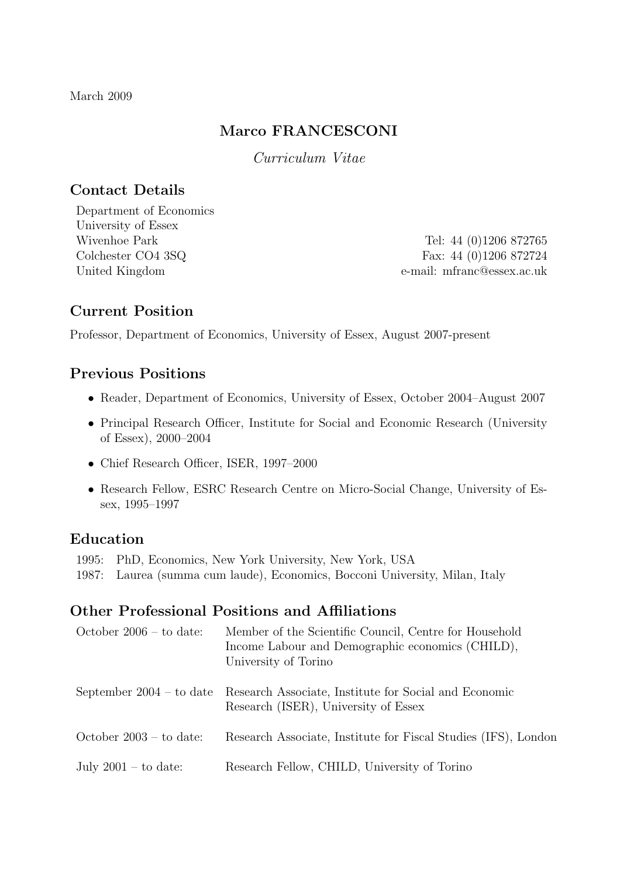March 2009

## Marco FRANCESCONI

Curriculum Vitae

## Contact Details

Department of Economics University of Essex

Wivenhoe Park Tel: 44 (0)1206 872765 Colchester CO4 3SQ Fax: 44 (0)1206 872724 United Kingdom e-mail: mfranc@essex.ac.uk

## Current Position

Professor, Department of Economics, University of Essex, August 2007-present

## Previous Positions

- Reader, Department of Economics, University of Essex, October 2004–August 2007
- Principal Research Officer, Institute for Social and Economic Research (University of Essex), 2000–2004
- Chief Research Officer, ISER, 1997–2000
- Research Fellow, ESRC Research Centre on Micro-Social Change, University of Essex, 1995–1997

## Education

1995: PhD, Economics, New York University, New York, USA

1987: Laurea (summa cum laude), Economics, Bocconi University, Milan, Italy

## Other Professional Positions and Affiliations

| October $2006 -$ to date: | Member of the Scientific Council, Centre for Household<br>Income Labour and Demographic economics (CHILD),<br>University of Torino |
|---------------------------|------------------------------------------------------------------------------------------------------------------------------------|
|                           | September 2004 – to date Research Associate, Institute for Social and Economic<br>Research (ISER), University of Essex             |
| October $2003 -$ to date: | Research Associate, Institute for Fiscal Studies (IFS), London                                                                     |
| July $2001 -$ to date:    | Research Fellow, CHILD, University of Torino                                                                                       |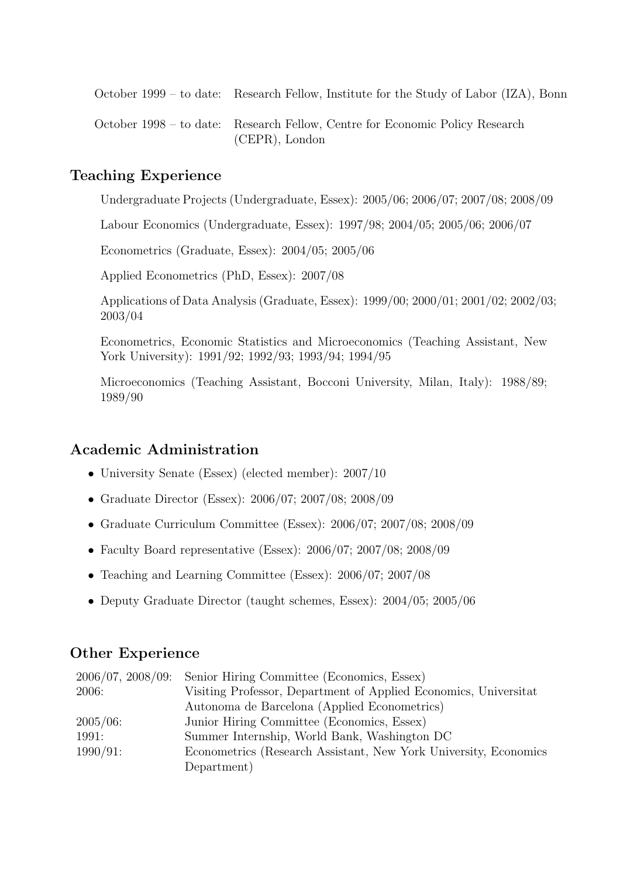October 1999 – to date: Research Fellow, Institute for the Study of Labor (IZA), Bonn

October 1998 – to date: Research Fellow, Centre for Economic Policy Research (CEPR), London

## Teaching Experience

Undergraduate Projects (Undergraduate, Essex): 2005/06; 2006/07; 2007/08; 2008/09

Labour Economics (Undergraduate, Essex): 1997/98; 2004/05; 2005/06; 2006/07

Econometrics (Graduate, Essex): 2004/05; 2005/06

Applied Econometrics (PhD, Essex): 2007/08

Applications of Data Analysis (Graduate, Essex): 1999/00; 2000/01; 2001/02; 2002/03; 2003/04

Econometrics, Economic Statistics and Microeconomics (Teaching Assistant, New York University): 1991/92; 1992/93; 1993/94; 1994/95

Microeconomics (Teaching Assistant, Bocconi University, Milan, Italy): 1988/89; 1989/90

## Academic Administration

- University Senate (Essex) (elected member): 2007/10
- Graduate Director (Essex): 2006/07; 2007/08; 2008/09
- Graduate Curriculum Committee (Essex): 2006/07; 2007/08; 2008/09
- Faculty Board representative (Essex): 2006/07; 2007/08; 2008/09
- Teaching and Learning Committee (Essex): 2006/07; 2007/08
- Deputy Graduate Director (taught schemes, Essex): 2004/05; 2005/06

## Other Experience

|             | 2006/07, 2008/09: Senior Hiring Committee (Economics, Essex)     |
|-------------|------------------------------------------------------------------|
| 2006:       | Visiting Professor, Department of Applied Economics, Universitat |
|             | Autonoma de Barcelona (Applied Econometrics)                     |
| $2005/06$ : | Junior Hiring Committee (Economics, Essex)                       |
| 1991:       | Summer Internship, World Bank, Washington DC                     |
| $1990/91$ : | Econometrics (Research Assistant, New York University, Economics |
|             | Department)                                                      |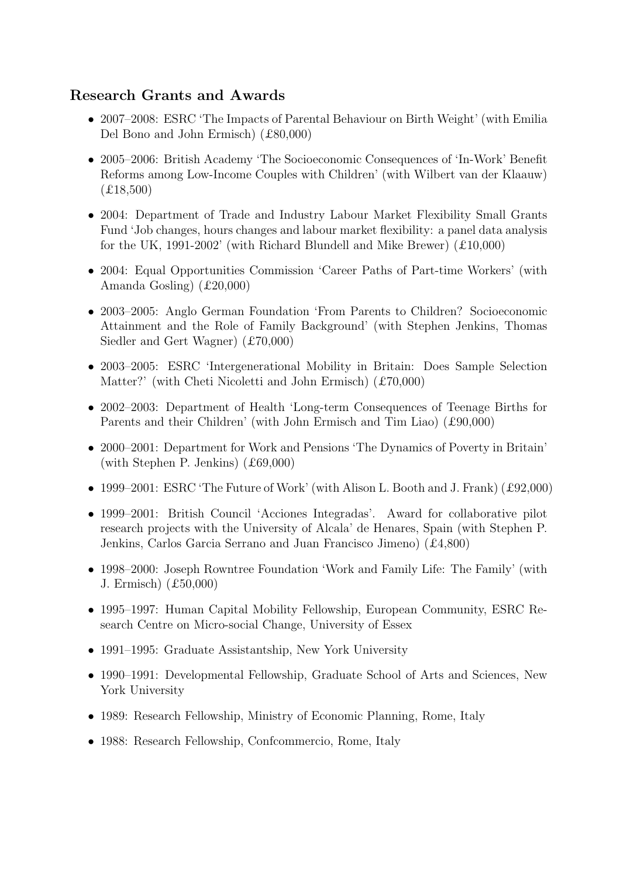# Research Grants and Awards

- 2007–2008: ESRC The Impacts of Parental Behaviour on Birth Weight' (with Emilia Del Bono and John Ermisch) (£80,000)
- 2005–2006: British Academy 'The Socioeconomic Consequences of 'In-Work' Benefit Reforms among Low-Income Couples with Children' (with Wilbert van der Klaauw)  $(E18,500)$
- 2004: Department of Trade and Industry Labour Market Flexibility Small Grants Fund 'Job changes, hours changes and labour market flexibility: a panel data analysis for the UK, 1991-2002' (with Richard Blundell and Mike Brewer) (£10,000)
- 2004: Equal Opportunities Commission 'Career Paths of Part-time Workers' (with Amanda Gosling) (£20,000)
- 2003–2005: Anglo German Foundation 'From Parents to Children? Socioeconomic Attainment and the Role of Family Background' (with Stephen Jenkins, Thomas Siedler and Gert Wagner) (£70,000)
- 2003–2005: ESRC 'Intergenerational Mobility in Britain: Does Sample Selection Matter?' (with Cheti Nicoletti and John Ermisch) (£70,000)
- 2002–2003: Department of Health 'Long-term Consequences of Teenage Births for Parents and their Children' (with John Ermisch and Tim Liao) (£90,000)
- 2000–2001: Department for Work and Pensions 'The Dynamics of Poverty in Britain' (with Stephen P. Jenkins) (£69,000)
- 1999–2001: ESRC 'The Future of Work' (with Alison L. Booth and J. Frank) (£92,000)
- 1999–2001: British Council 'Acciones Integradas'. Award for collaborative pilot research projects with the University of Alcala' de Henares, Spain (with Stephen P. Jenkins, Carlos Garcia Serrano and Juan Francisco Jimeno) (£4,800)
- 1998–2000: Joseph Rowntree Foundation 'Work and Family Life: The Family' (with J. Ermisch) (£50,000)
- 1995–1997: Human Capital Mobility Fellowship, European Community, ESRC Research Centre on Micro-social Change, University of Essex
- 1991–1995: Graduate Assistantship, New York University
- 1990–1991: Developmental Fellowship, Graduate School of Arts and Sciences, New York University
- 1989: Research Fellowship, Ministry of Economic Planning, Rome, Italy
- 1988: Research Fellowship, Confcommercio, Rome, Italy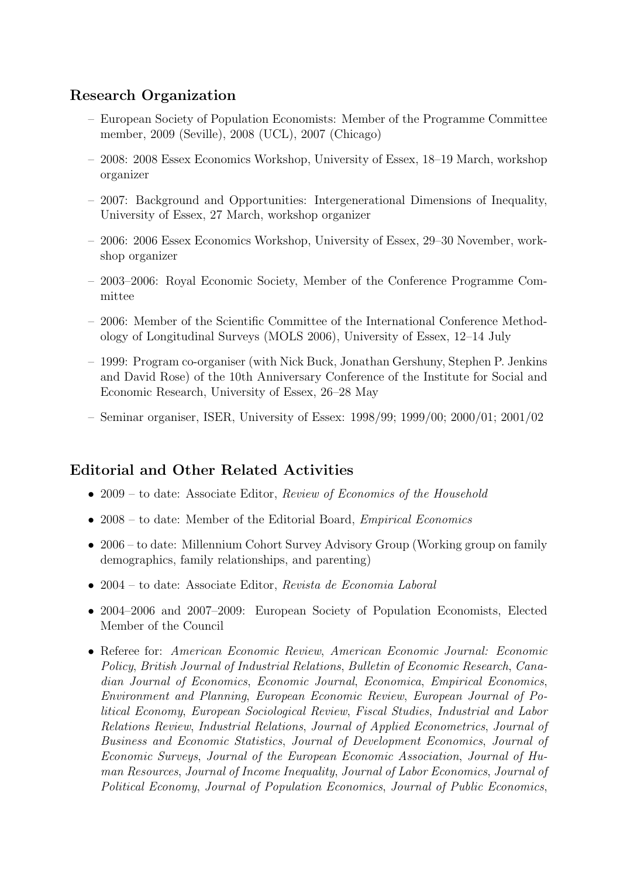## Research Organization

- European Society of Population Economists: Member of the Programme Committee member, 2009 (Seville), 2008 (UCL), 2007 (Chicago)
- 2008: 2008 Essex Economics Workshop, University of Essex, 18–19 March, workshop organizer
- 2007: Background and Opportunities: Intergenerational Dimensions of Inequality, University of Essex, 27 March, workshop organizer
- 2006: 2006 Essex Economics Workshop, University of Essex, 29–30 November, workshop organizer
- 2003–2006: Royal Economic Society, Member of the Conference Programme Committee
- 2006: Member of the Scientific Committee of the International Conference Methodology of Longitudinal Surveys (MOLS 2006), University of Essex, 12–14 July
- 1999: Program co-organiser (with Nick Buck, Jonathan Gershuny, Stephen P. Jenkins and David Rose) of the 10th Anniversary Conference of the Institute for Social and Economic Research, University of Essex, 26–28 May
- Seminar organiser, ISER, University of Essex: 1998/99; 1999/00; 2000/01; 2001/02

## Editorial and Other Related Activities

- 2009 to date: Associate Editor, Review of Economics of the Household
- 2008 to date: Member of the Editorial Board, *Empirical Economics*
- 2006 to date: Millennium Cohort Survey Advisory Group (Working group on family demographics, family relationships, and parenting)
- 2004 to date: Associate Editor, Revista de Economia Laboral
- 2004–2006 and 2007–2009: European Society of Population Economists, Elected Member of the Council
- Referee for: American Economic Review, American Economic Journal: Economic Policy, British Journal of Industrial Relations, Bulletin of Economic Research, Canadian Journal of Economics, Economic Journal, Economica, Empirical Economics, Environment and Planning, European Economic Review, European Journal of Political Economy, European Sociological Review, Fiscal Studies, Industrial and Labor Relations Review, Industrial Relations, Journal of Applied Econometrics, Journal of Business and Economic Statistics, Journal of Development Economics, Journal of Economic Surveys, Journal of the European Economic Association, Journal of Human Resources, Journal of Income Inequality, Journal of Labor Economics, Journal of Political Economy, Journal of Population Economics, Journal of Public Economics,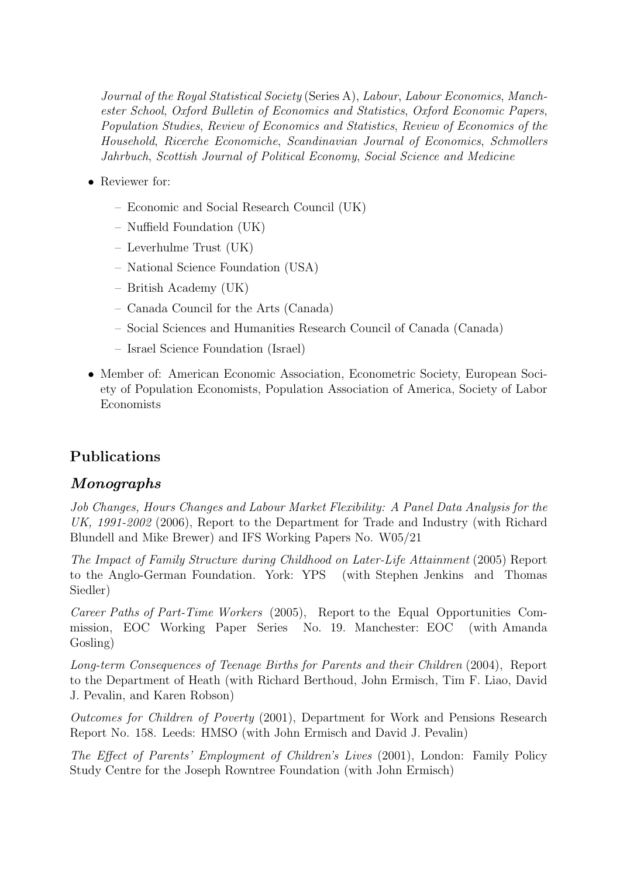Journal of the Royal Statistical Society (Series A), Labour, Labour Economics, Manchester School, Oxford Bulletin of Economics and Statistics, Oxford Economic Papers, Population Studies, Review of Economics and Statistics, Review of Economics of the Household, Ricerche Economiche, Scandinavian Journal of Economics, Schmollers Jahrbuch, Scottish Journal of Political Economy, Social Science and Medicine

- Reviewer for:
	- Economic and Social Research Council (UK)
	- Nuffield Foundation (UK)
	- Leverhulme Trust (UK)
	- National Science Foundation (USA)
	- British Academy (UK)
	- Canada Council for the Arts (Canada)
	- Social Sciences and Humanities Research Council of Canada (Canada)
	- Israel Science Foundation (Israel)
- Member of: American Economic Association, Econometric Society, European Society of Population Economists, Population Association of America, Society of Labor Economists

## Publications

#### Monographs

Job Changes, Hours Changes and Labour Market Flexibility: A Panel Data Analysis for the UK, 1991-2002 (2006), Report to the Department for Trade and Industry (with Richard Blundell and Mike Brewer) and IFS Working Papers No. W05/21

The Impact of Family Structure during Childhood on Later-Life Attainment (2005) Report to the Anglo-German Foundation. York: YPS (with Stephen Jenkins and Thomas Siedler)

Career Paths of Part-Time Workers (2005), Report to the Equal Opportunities Commission, EOC Working Paper Series No. 19. Manchester: EOC (with Amanda Gosling)

Long-term Consequences of Teenage Births for Parents and their Children (2004), Report to the Department of Heath (with Richard Berthoud, John Ermisch, Tim F. Liao, David J. Pevalin, and Karen Robson)

Outcomes for Children of Poverty (2001), Department for Work and Pensions Research Report No. 158. Leeds: HMSO (with John Ermisch and David J. Pevalin)

The Effect of Parents' Employment of Children's Lives (2001), London: Family Policy Study Centre for the Joseph Rowntree Foundation (with John Ermisch)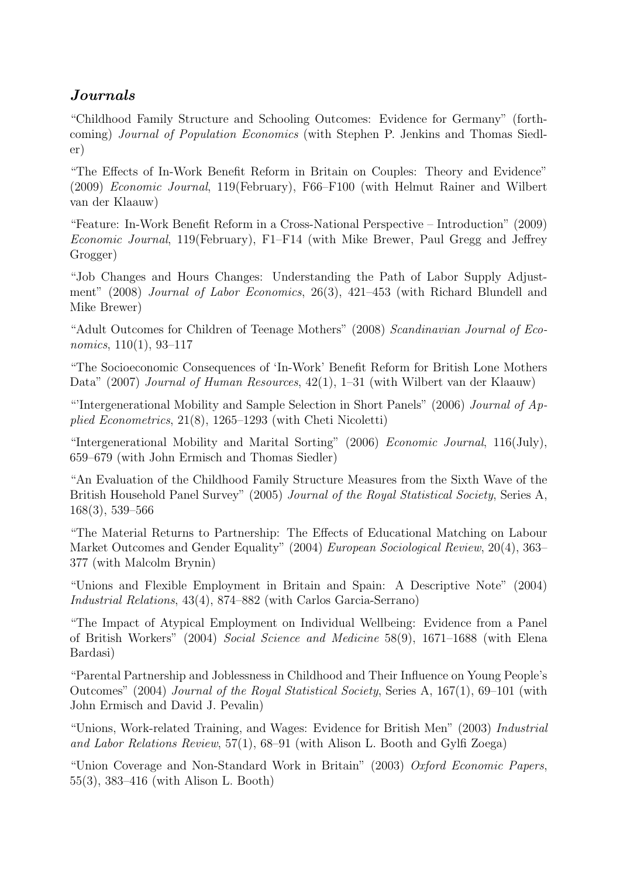# Journals

"Childhood Family Structure and Schooling Outcomes: Evidence for Germany" (forthcoming) Journal of Population Economics (with Stephen P. Jenkins and Thomas Siedler)

"The Effects of In-Work Benefit Reform in Britain on Couples: Theory and Evidence" (2009) Economic Journal, 119(February), F66–F100 (with Helmut Rainer and Wilbert van der Klaauw)

"Feature: In-Work Benefit Reform in a Cross-National Perspective – Introduction" (2009) Economic Journal, 119(February), F1–F14 (with Mike Brewer, Paul Gregg and Jeffrey Grogger)

"Job Changes and Hours Changes: Understanding the Path of Labor Supply Adjustment" (2008) Journal of Labor Economics, 26(3), 421–453 (with Richard Blundell and Mike Brewer)

"Adult Outcomes for Children of Teenage Mothers" (2008) Scandinavian Journal of Economics, 110(1), 93–117

"The Socioeconomic Consequences of 'In-Work' Benefit Reform for British Lone Mothers Data" (2007) Journal of Human Resources, 42(1), 1–31 (with Wilbert van der Klaauw)

"Intergenerational Mobility and Sample Selection in Short Panels" (2006) *Journal of Ap*plied Econometrics, 21(8), 1265–1293 (with Cheti Nicoletti)

"Intergenerational Mobility and Marital Sorting" (2006) Economic Journal, 116(July), 659–679 (with John Ermisch and Thomas Siedler)

"An Evaluation of the Childhood Family Structure Measures from the Sixth Wave of the British Household Panel Survey" (2005) Journal of the Royal Statistical Society, Series A, 168(3), 539–566

"The Material Returns to Partnership: The Effects of Educational Matching on Labour Market Outcomes and Gender Equality" (2004) European Sociological Review, 20(4), 363– 377 (with Malcolm Brynin)

"Unions and Flexible Employment in Britain and Spain: A Descriptive Note" (2004) Industrial Relations, 43(4), 874–882 (with Carlos Garcia-Serrano)

"The Impact of Atypical Employment on Individual Wellbeing: Evidence from a Panel of British Workers" (2004) Social Science and Medicine 58(9), 1671–1688 (with Elena Bardasi)

"Parental Partnership and Joblessness in Childhood and Their Influence on Young People's Outcomes" (2004) Journal of the Royal Statistical Society, Series A, 167(1), 69–101 (with John Ermisch and David J. Pevalin)

"Unions, Work-related Training, and Wages: Evidence for British Men" (2003) Industrial and Labor Relations Review, 57(1), 68–91 (with Alison L. Booth and Gylfi Zoega)

"Union Coverage and Non-Standard Work in Britain" (2003) Oxford Economic Papers, 55(3), 383–416 (with Alison L. Booth)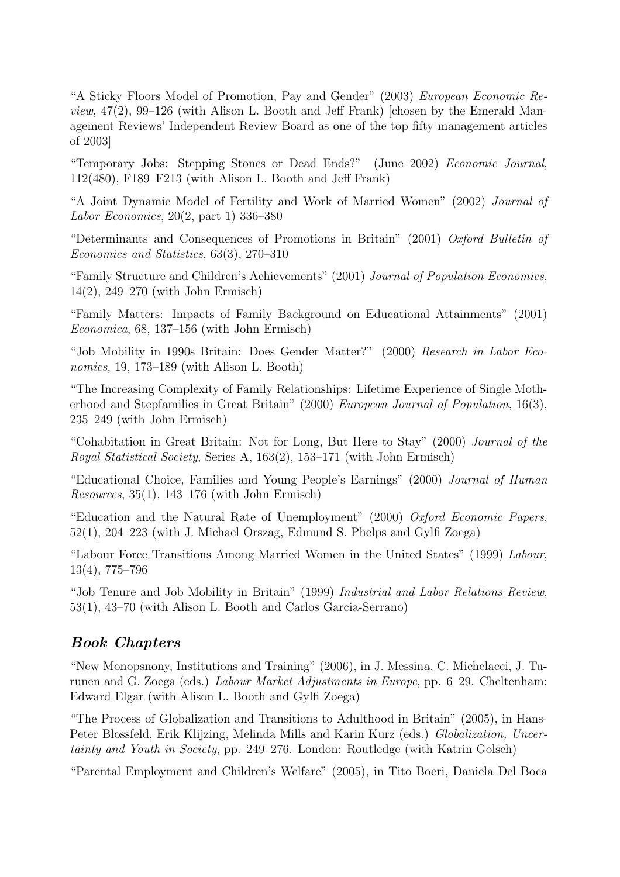"A Sticky Floors Model of Promotion, Pay and Gender" (2003) European Economic Re*view*,  $47(2)$ ,  $99-126$  (with Alison L. Booth and Jeff Frank) [chosen by the Emerald Management Reviews' Independent Review Board as one of the top fifty management articles of 2003]

"Temporary Jobs: Stepping Stones or Dead Ends?" (June 2002) Economic Journal, 112(480), F189–F213 (with Alison L. Booth and Jeff Frank)

"A Joint Dynamic Model of Fertility and Work of Married Women" (2002) Journal of Labor Economics, 20(2, part 1) 336–380

"Determinants and Consequences of Promotions in Britain" (2001) Oxford Bulletin of Economics and Statistics, 63(3), 270–310

"Family Structure and Children's Achievements" (2001) Journal of Population Economics, 14(2), 249–270 (with John Ermisch)

"Family Matters: Impacts of Family Background on Educational Attainments" (2001) Economica, 68, 137–156 (with John Ermisch)

"Job Mobility in 1990s Britain: Does Gender Matter?" (2000) Research in Labor Economics, 19, 173–189 (with Alison L. Booth)

"The Increasing Complexity of Family Relationships: Lifetime Experience of Single Motherhood and Stepfamilies in Great Britain" (2000) European Journal of Population, 16(3), 235–249 (with John Ermisch)

"Cohabitation in Great Britain: Not for Long, But Here to Stay" (2000) Journal of the Royal Statistical Society, Series A, 163(2), 153–171 (with John Ermisch)

"Educational Choice, Families and Young People's Earnings" (2000) Journal of Human Resources, 35(1), 143–176 (with John Ermisch)

"Education and the Natural Rate of Unemployment" (2000) Oxford Economic Papers, 52(1), 204–223 (with J. Michael Orszag, Edmund S. Phelps and Gylfi Zoega)

"Labour Force Transitions Among Married Women in the United States" (1999) Labour, 13(4), 775–796

"Job Tenure and Job Mobility in Britain" (1999) Industrial and Labor Relations Review, 53(1), 43–70 (with Alison L. Booth and Carlos Garcia-Serrano)

## Book Chapters

"New Monopsnony, Institutions and Training" (2006), in J. Messina, C. Michelacci, J. Turunen and G. Zoega (eds.) Labour Market Adjustments in Europe, pp. 6–29. Cheltenham: Edward Elgar (with Alison L. Booth and Gylfi Zoega)

"The Process of Globalization and Transitions to Adulthood in Britain" (2005), in Hans-Peter Blossfeld, Erik Klijzing, Melinda Mills and Karin Kurz (eds.) Globalization, Uncertainty and Youth in Society, pp. 249–276. London: Routledge (with Katrin Golsch)

"Parental Employment and Children's Welfare" (2005), in Tito Boeri, Daniela Del Boca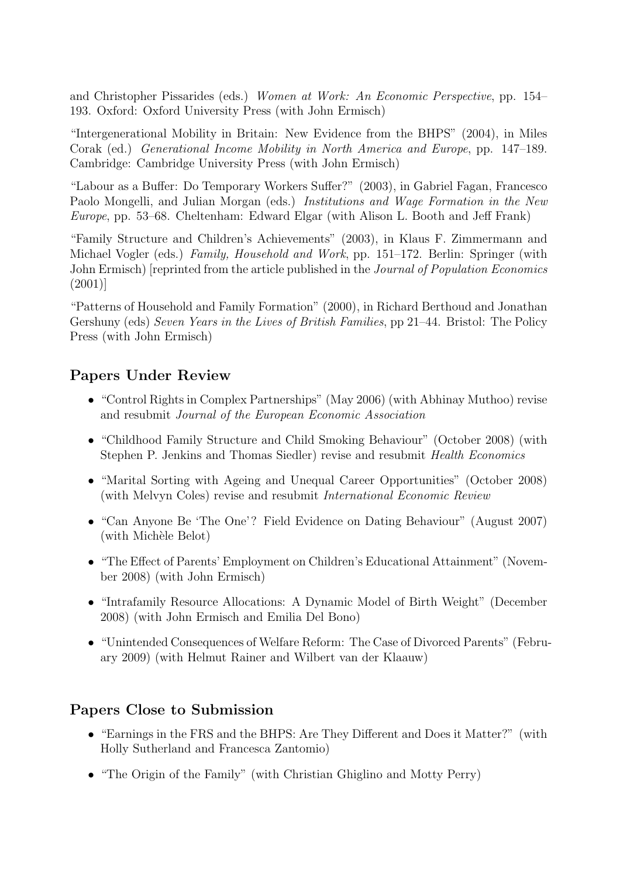and Christopher Pissarides (eds.) Women at Work: An Economic Perspective, pp. 154– 193. Oxford: Oxford University Press (with John Ermisch)

"Intergenerational Mobility in Britain: New Evidence from the BHPS" (2004), in Miles Corak (ed.) Generational Income Mobility in North America and Europe, pp. 147–189. Cambridge: Cambridge University Press (with John Ermisch)

"Labour as a Buffer: Do Temporary Workers Suffer?" (2003), in Gabriel Fagan, Francesco Paolo Mongelli, and Julian Morgan (eds.) Institutions and Wage Formation in the New Europe, pp. 53–68. Cheltenham: Edward Elgar (with Alison L. Booth and Jeff Frank)

"Family Structure and Children's Achievements" (2003), in Klaus F. Zimmermann and Michael Vogler (eds.) Family, Household and Work, pp. 151–172. Berlin: Springer (with John Ermisch) [reprinted from the article published in the *Journal of Population Economics* (2001)]

"Patterns of Household and Family Formation" (2000), in Richard Berthoud and Jonathan Gershuny (eds) Seven Years in the Lives of British Families, pp 21–44. Bristol: The Policy Press (with John Ermisch)

## Papers Under Review

- "Control Rights in Complex Partnerships" (May 2006) (with Abhinay Muthoo) revise and resubmit Journal of the European Economic Association
- "Childhood Family Structure and Child Smoking Behaviour" (October 2008) (with Stephen P. Jenkins and Thomas Siedler) revise and resubmit Health Economics
- "Marital Sorting with Ageing and Unequal Career Opportunities" (October 2008) (with Melvyn Coles) revise and resubmit International Economic Review
- "Can Anyone Be 'The One'? Field Evidence on Dating Behaviour" (August 2007) (with Michèle Belot)
- "The Effect of Parents' Employment on Children's Educational Attainment" (November 2008) (with John Ermisch)
- "Intrafamily Resource Allocations: A Dynamic Model of Birth Weight" (December 2008) (with John Ermisch and Emilia Del Bono)
- "Unintended Consequences of Welfare Reform: The Case of Divorced Parents" (February 2009) (with Helmut Rainer and Wilbert van der Klaauw)

## Papers Close to Submission

- "Earnings in the FRS and the BHPS: Are They Different and Does it Matter?" (with Holly Sutherland and Francesca Zantomio)
- "The Origin of the Family" (with Christian Ghiglino and Motty Perry)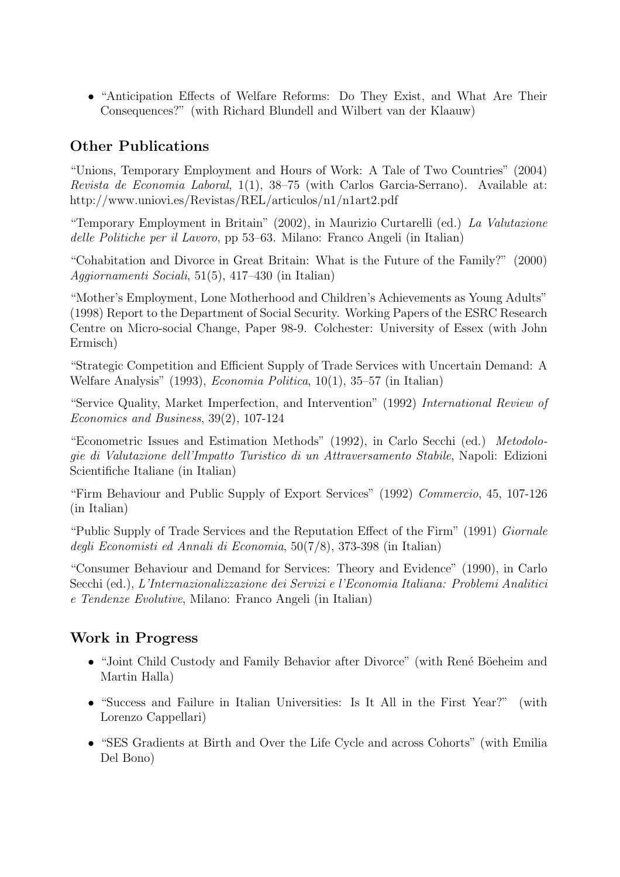• "Anticipation Effects of Welfare Reforms: Do They Exist, and What Are Their Consequences?" (with Richard Blundell and Wilbert van der Klaauw)

## Other Publications

"Unions, Temporary Employment and Hours of Work: A Tale of Two Countries" (2004) Revista de Economia Laboral, 1(1), 38–75 (with Carlos Garcia-Serrano). Available at: http://www.uniovi.es/Revistas/REL/articulos/n1/n1art2.pdf

"Temporary Employment in Britain" (2002), in Maurizio Curtarelli (ed.) La Valutazione delle Politiche per il Lavoro, pp 53–63. Milano: Franco Angeli (in Italian)

"Cohabitation and Divorce in Great Britain: What is the Future of the Family?" (2000) Aggiornamenti Sociali, 51(5), 417–430 (in Italian)

"Mother's Employment, Lone Motherhood and Children's Achievements as Young Adults" (1998) Report to the Department of Social Security. Working Papers of the ESRC Research Centre on Micro-social Change, Paper 98-9. Colchester: University of Essex (with John Ermisch)

"Strategic Competition and Efficient Supply of Trade Services with Uncertain Demand: A Welfare Analysis" (1993), Economia Politica, 10(1), 35–57 (in Italian)

"Service Quality, Market Imperfection, and Intervention" (1992) International Review of Economics and Business, 39(2), 107-124

"Econometric Issues and Estimation Methods" (1992), in Carlo Secchi (ed.) Metodologie di Valutazione dell'Impatto Turistico di un Attraversamento Stabile, Napoli: Edizioni Scientifiche Italiane (in Italian)

"Firm Behaviour and Public Supply of Export Services" (1992) Commercio, 45, 107-126 (in Italian)

"Public Supply of Trade Services and the Reputation Effect of the Firm" (1991) Giornale degli Economisti ed Annali di Economia, 50(7/8), 373-398 (in Italian)

"Consumer Behaviour and Demand for Services: Theory and Evidence" (1990), in Carlo Secchi (ed.), L'Internazionalizzazione dei Servizi e l'Economia Italiana: Problemi Analitici e Tendenze Evolutive, Milano: Franco Angeli (in Italian)

## Work in Progress

- "Joint Child Custody and Family Behavior after Divorce" (with René Böeheim and Martin Halla)
- "Success and Failure in Italian Universities: Is It All in the First Year?" (with Lorenzo Cappellari)
- "SES Gradients at Birth and Over the Life Cycle and across Cohorts" (with Emilia Del Bono)